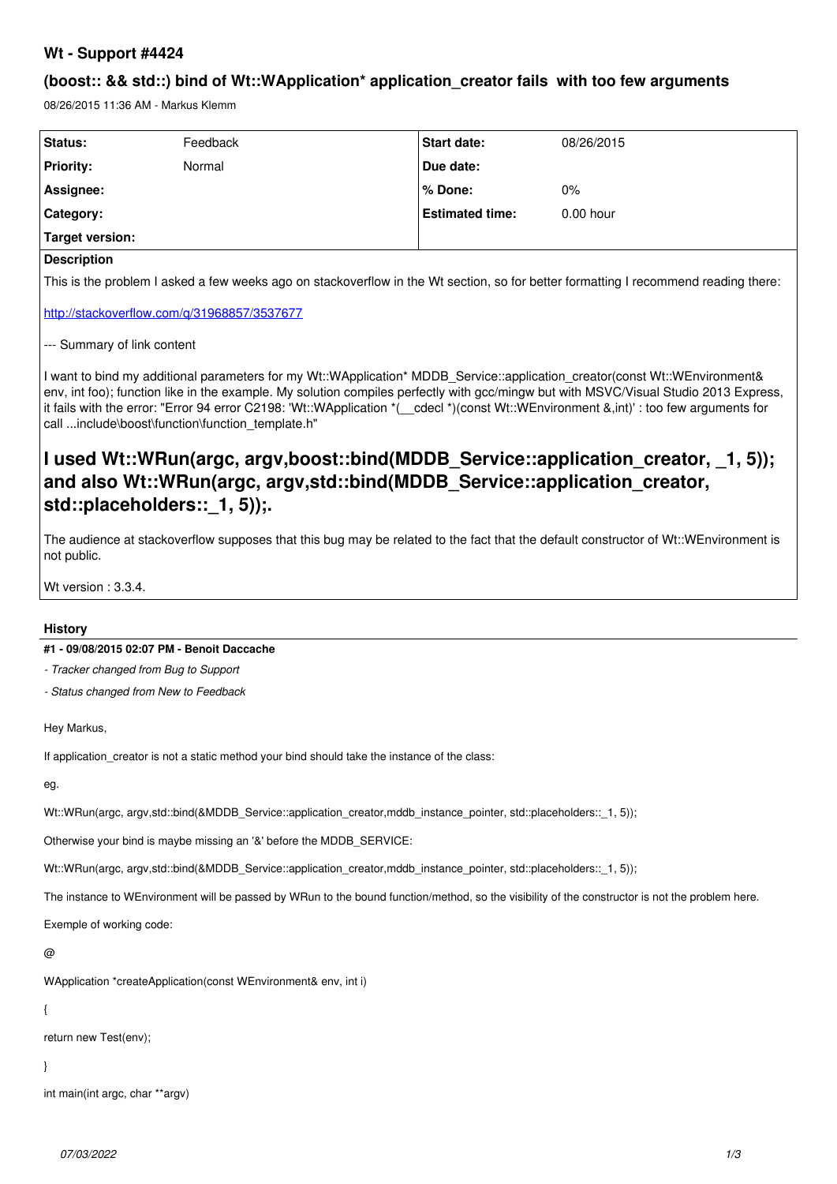## **Wt - Support #4424**

# **(boost:: && std::) bind of Wt::WApplication\* application\_creator fails with too few arguments**

08/26/2015 11:36 AM - Markus Klemm

| <b>Status:</b>   | Feedback | <b>Start date:</b>     | 08/26/2015  |
|------------------|----------|------------------------|-------------|
| <b>Priority:</b> | Normal   | Due date:              |             |
| Assignee:        |          | l % Done:              | 0%          |
| Category:        |          | <b>Estimated time:</b> | $0.00$ hour |
| Target version:  |          |                        |             |

## **Description**

This is the problem I asked a few weeks ago on stackoverflow in the Wt section, so for better formatting I recommend reading there:

## <http://stackoverflow.com/q/31968857/3537677>

--- Summary of link content

I want to bind my additional parameters for my Wt::WApplication\* MDDB\_Service::application\_creator(const Wt::WEnvironment& env, int foo); function like in the example. My solution compiles perfectly with gcc/mingw but with MSVC/Visual Studio 2013 Express, it fails with the error: "Error 94 error C2198: 'Wt::WApplication \*( cdecl \*)(const Wt::WEnvironment &,int)' : too few arguments for call ...include\boost\function\function\_template.h"

# **I used Wt::WRun(argc, argv,boost::bind(MDDB\_Service::application\_creator, \_1, 5)); and also Wt::WRun(argc, argv,std::bind(MDDB\_Service::application\_creator, std::placeholders::\_1, 5));.**

The audience at stackoverflow supposes that this bug may be related to the fact that the default constructor of Wt::WEnvironment is not public.

Wt version : 3.3.4.

## **History**

## **#1 - 09/08/2015 02:07 PM - Benoit Daccache**

*- Tracker changed from Bug to Support*

*- Status changed from New to Feedback*

Hey Markus,

If application\_creator is not a static method your bind should take the instance of the class:

eg.

Wt::WRun(argc, argv,std::bind(&MDDB\_Service::application\_creator,mddb\_instance\_pointer, std::placeholders::\_1, 5));

Otherwise your bind is maybe missing an '&' before the MDDB\_SERVICE:

Wt::WRun(argc, argv,std::bind(&MDDB\_Service::application\_creator,mddb\_instance\_pointer, std::placeholders::\_1, 5));

The instance to WEnvironment will be passed by WRun to the bound function/method, so the visibility of the constructor is not the problem here.

Exemple of working code:

 $\omega$ 

WApplication \*createApplication(const WEnvironment& env, int i)

{

return new Test(env);

}

int main(int argc, char \*\*argv)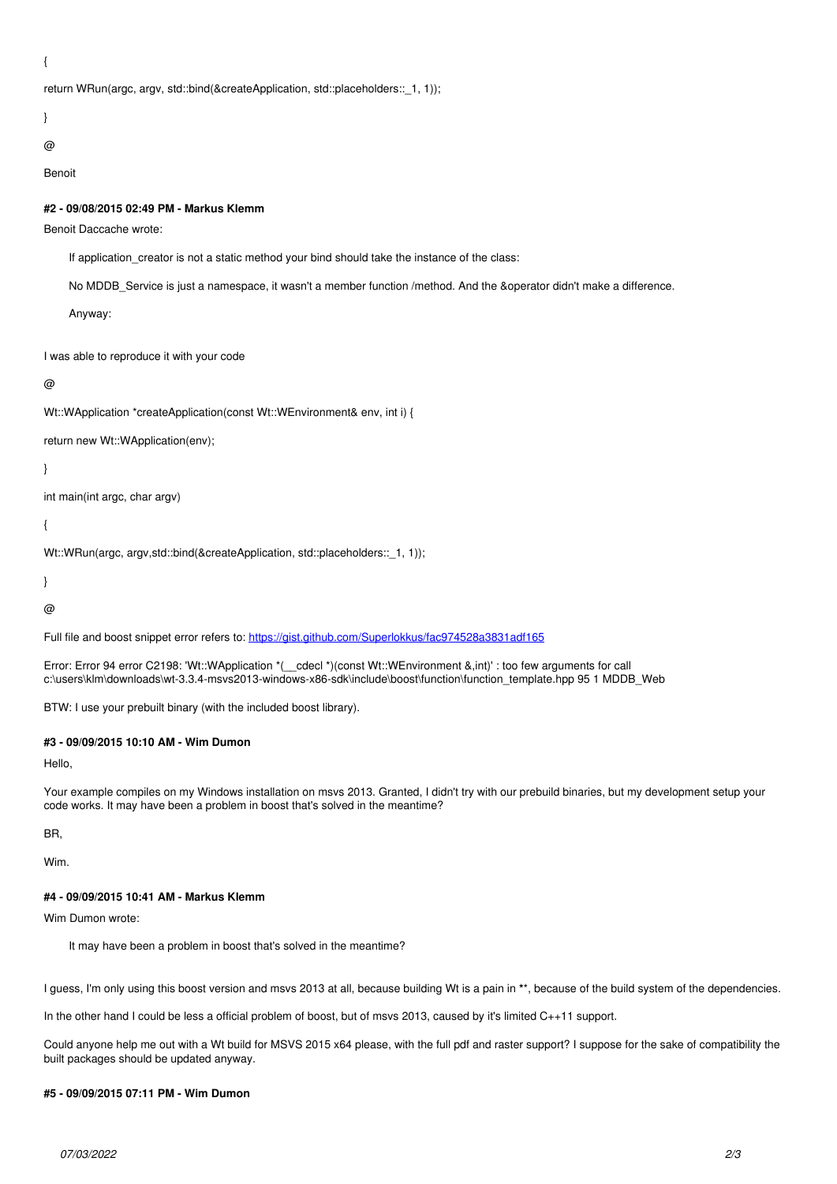{

return WRun(argc, argv, std::bind(&createApplication, std::placeholders::\_1, 1));

}

```
@
```
Benoit

## **#2 - 09/08/2015 02:49 PM - Markus Klemm**

Benoit Daccache wrote:

If application creator is not a static method your bind should take the instance of the class:

No MDDB\_Service is just a namespace, it wasn't a member function /method. And the &operator didn't make a difference.

Anyway:

I was able to reproduce it with your code

## @

Wt::WApplication \*createApplication(const Wt::WEnvironment& env, int i) {

return new Wt::WApplication(env);

## }

int main(int argc, char argv)

{

Wt::WRun(argc, argv, std::bind(&createApplication, std::placeholders:: 1, 1));

}

@

Full file and boost snippet error refers to:<https://gist.github.com/Superlokkus/fac974528a3831adf165>

Error: Error 94 error C2198: 'Wt::WApplication \*(\_\_cdecl \*)(const Wt::WEnvironment &,int)' : too few arguments for call c:\users\klm\downloads\wt-3.3.4-msvs2013-windows-x86-sdk\include\boost\function\function\_template.hpp 95 1 MDDB\_Web

BTW: I use your prebuilt binary (with the included boost library).

## **#3 - 09/09/2015 10:10 AM - Wim Dumon**

Hello,

Your example compiles on my Windows installation on msvs 2013. Granted, I didn't try with our prebuild binaries, but my development setup your code works. It may have been a problem in boost that's solved in the meantime?

BR,

Wim.

## **#4 - 09/09/2015 10:41 AM - Markus Klemm**

Wim Dumon wrote:

It may have been a problem in boost that's solved in the meantime?

I guess, I'm only using this boost version and msvs 2013 at all, because building Wt is a pain in **\***\*, because of the build system of the dependencies.

In the other hand I could be less a official problem of boost, but of msvs 2013, caused by it's limited C++11 support.

Could anyone help me out with a Wt build for MSVS 2015 x64 please, with the full pdf and raster support? I suppose for the sake of compatibility the built packages should be updated anyway.

#### **#5 - 09/09/2015 07:11 PM - Wim Dumon**